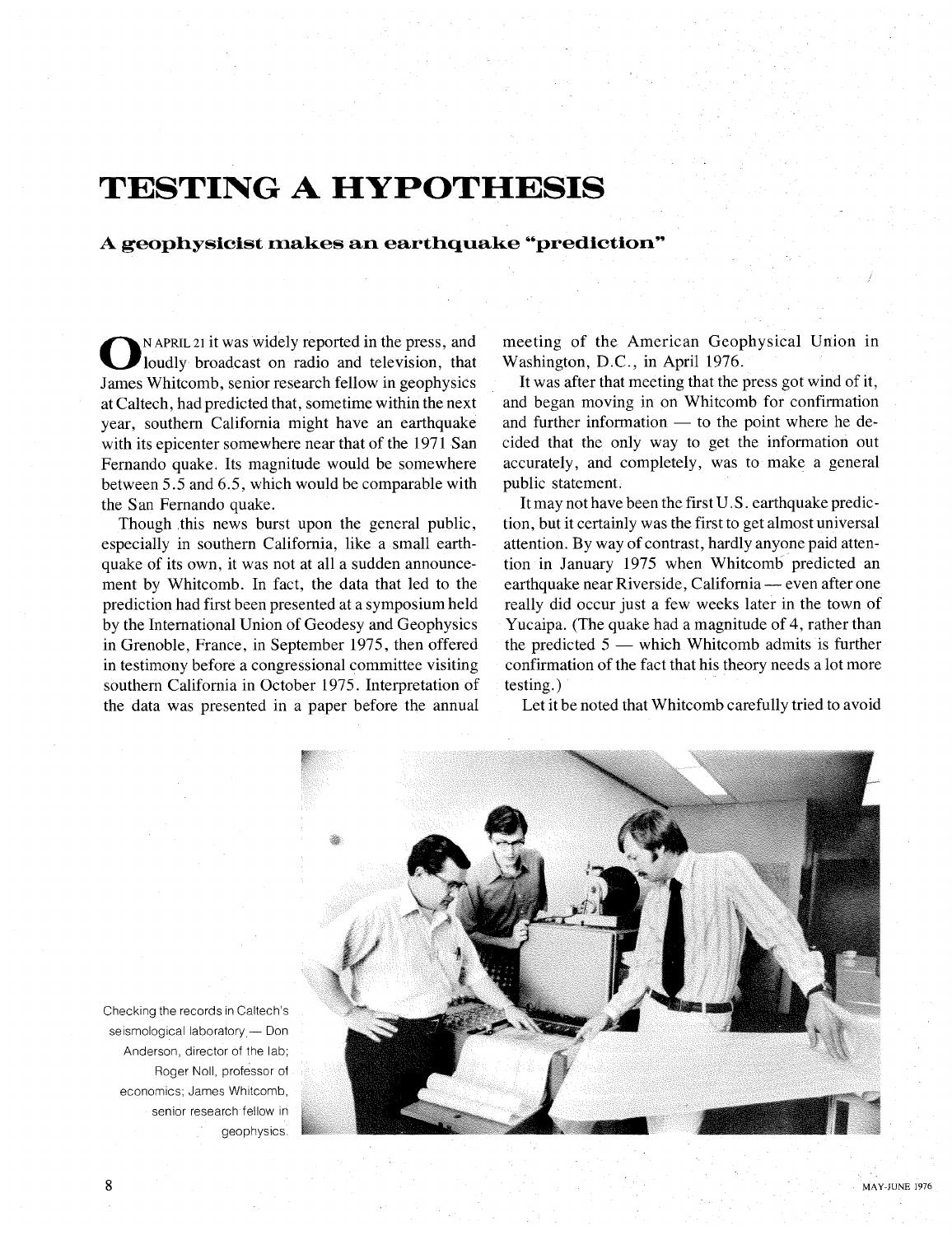## **TESTING A HYPOTHESIS**

## **A geophysicist makes an earthquake "prediction"**

**0** <sup>N APRIL</sup><sup>21</sup> it was widely reported in the press, and loudly broadcast on radio and television, that James Whitcomb, senior research fellow in geophysics loudly broadcast on radio and television, that at Caltech, had predicted that, sometime within the next year, southern California might have an earthquake with its epicenter somewhere near that of the 1971 San Fernando quake. Its magnitude would be somewhere between 5.5 and 6.5, which would be comparable with the San Fernando quake.

Though this news burst upon the general public, especially in southern California, like a small earthquake of its own, it was not at all a sudden announcement by Whitcomb. In fact, the data that led to the prediction had first been presented at a symposium held by the International Union of Geodesy and Geophysics in Grenoble, France, in September 1975, then offered in testimony before a congressional committee visiting southern California in October 1975. Interpretation of the data was presented in a paper before the annual

meeting of the American Geophysical Union in Washington, D.C., in April 1976.

It was after that meeting that the press got wind of it, and began moving in on Whitcomb for confirmation and further information  $-$  to the point where he decided that the only way to get the information out accurately, and completely, was to make a general public statement.

It may not have been the first U.S . earthquake prediction, but it certainly was the first to get almost universal attention. By way of contrast, hardly anyone paid attention in January 1975 when Whitcomb predicted an attention. By way of contrast, hardly anyone paid attention in January 1975 when Whitcomb predicted an earthquake near Riverside, California — even after one really did occur just a few weeks later in the town of Yucaipa. (The quake had a magnitude of 4, rather than the predicted  $5$  - which Whitcomb admits is further confirmation of the fact that his theory needs a lot more testing.)

Let it be noted that Whitcomb carefully tried to avoid



Checking the records in Caltech's seismological laboratory - Don Anderson, director of the lab; Roger Noll, professor of economics; James Whitcomb, senior research fellow in geophysics.